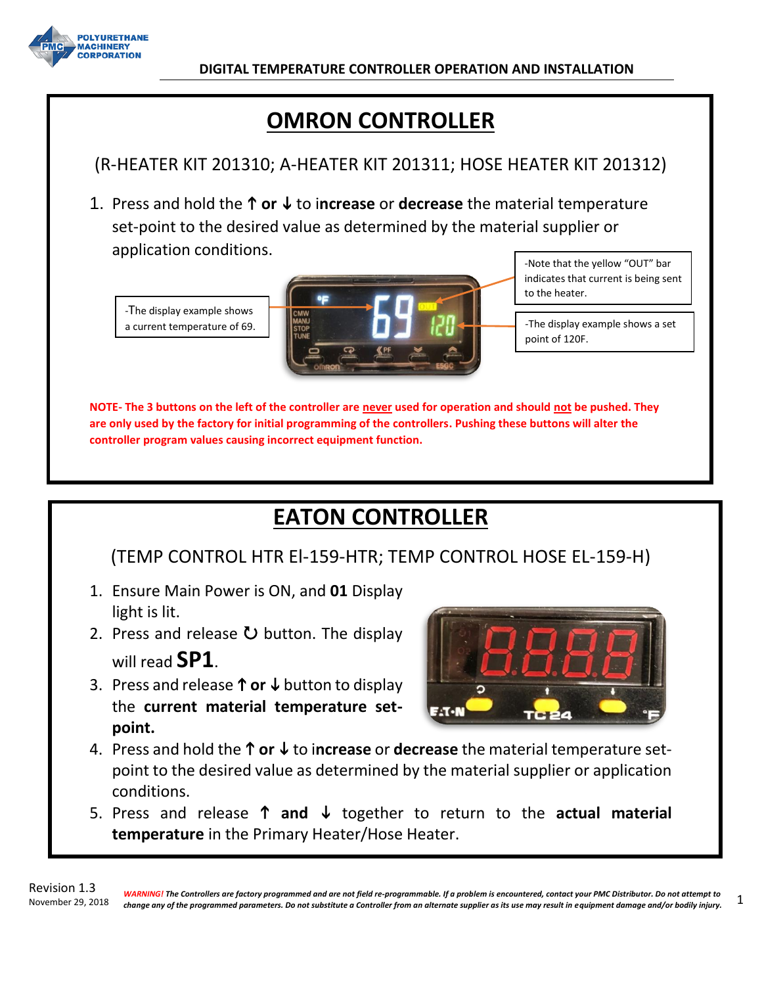

# **OMRON CONTROLLER**

# (R-HEATER KIT 201310; A-HEATER KIT 201311; HOSE HEATER KIT 201312)

1. Press and hold the **↑ or ↓** to increase or decrease the material temperature set-point to the desired value as determined by the material supplier or application conditions.

-The display example shows a current temperature of 69.



-Note that the yellow "OUT" bar indicates that current is being sent to the heater.

-The display example shows a set point of 120F.

**NOTE- The 3 buttons on the left of the controller are never used for operation and should not be pushed. They are only used by the factory for initial programming of the controllers. Pushing these buttons will alter the controller program values causing incorrect equipment function.**

# **EATON CONTROLLER**

## (TEMP CONTROL HTR El-159-HTR; TEMP CONTROL HOSE EL-159-H)

- 1. Ensure Main Power is ON, and **01** Display light is lit.
- 2. Press and release  $\bullet$  button. The display will read **SP1**.
- 3. Press and release  $\uparrow$  or  $\downarrow$  button to display the **current material temperature setpoint.**



- 4. Press and hold the **↑ or ↓** to increase or decrease the material temperature setpoint to the desired value as determined by the material supplier or application conditions.
- 5. Press and release  $\uparrow$  and  $\downarrow$  together to return to the actual material **temperature** in the Primary Heater/Hose Heater.